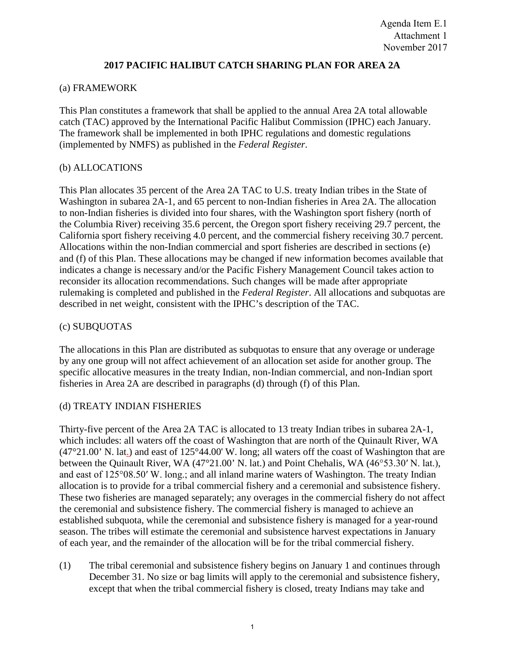# **2017 PACIFIC HALIBUT CATCH SHARING PLAN FOR AREA 2A**

## (a) FRAMEWORK

This Plan constitutes a framework that shall be applied to the annual Area 2A total allowable catch (TAC) approved by the International Pacific Halibut Commission (IPHC) each January. The framework shall be implemented in both IPHC regulations and domestic regulations (implemented by NMFS) as published in the *Federal Register*.

## (b) ALLOCATIONS

This Plan allocates 35 percent of the Area 2A TAC to U.S. treaty Indian tribes in the State of Washington in subarea 2A-1, and 65 percent to non-Indian fisheries in Area 2A. The allocation to non-Indian fisheries is divided into four shares, with the Washington sport fishery (north of the Columbia River) receiving 35.6 percent, the Oregon sport fishery receiving 29.7 percent, the California sport fishery receiving 4.0 percent, and the commercial fishery receiving 30.7 percent. Allocations within the non-Indian commercial and sport fisheries are described in sections (e) and (f) of this Plan. These allocations may be changed if new information becomes available that indicates a change is necessary and/or the Pacific Fishery Management Council takes action to reconsider its allocation recommendations. Such changes will be made after appropriate rulemaking is completed and published in the *Federal Register*. All allocations and subquotas are described in net weight, consistent with the IPHC's description of the TAC.

## (c) SUBQUOTAS

The allocations in this Plan are distributed as subquotas to ensure that any overage or underage by any one group will not affect achievement of an allocation set aside for another group. The specific allocative measures in the treaty Indian, non-Indian commercial, and non-Indian sport fisheries in Area 2A are described in paragraphs (d) through (f) of this Plan.

## (d) TREATY INDIAN FISHERIES

Thirty-five percent of the Area 2A TAC is allocated to 13 treaty Indian tribes in subarea 2A-1, which includes: all waters off the coast of Washington that are north of the Quinault River, WA  $(47^{\circ}21.00^{\circ}$  N. lat.) and east of 125°44.00' W. long; all waters off the coast of Washington that are between the Quinault River, WA (47°21.00' N. lat.) and Point Chehalis, WA (46°53.30′ N. lat.), and east of 125°08.50′ W. long.; and all inland marine waters of Washington. The treaty Indian allocation is to provide for a tribal commercial fishery and a ceremonial and subsistence fishery. These two fisheries are managed separately; any overages in the commercial fishery do not affect the ceremonial and subsistence fishery. The commercial fishery is managed to achieve an established subquota, while the ceremonial and subsistence fishery is managed for a year-round season. The tribes will estimate the ceremonial and subsistence harvest expectations in January of each year, and the remainder of the allocation will be for the tribal commercial fishery.

(1) The tribal ceremonial and subsistence fishery begins on January 1 and continues through December 31. No size or bag limits will apply to the ceremonial and subsistence fishery, except that when the tribal commercial fishery is closed, treaty Indians may take and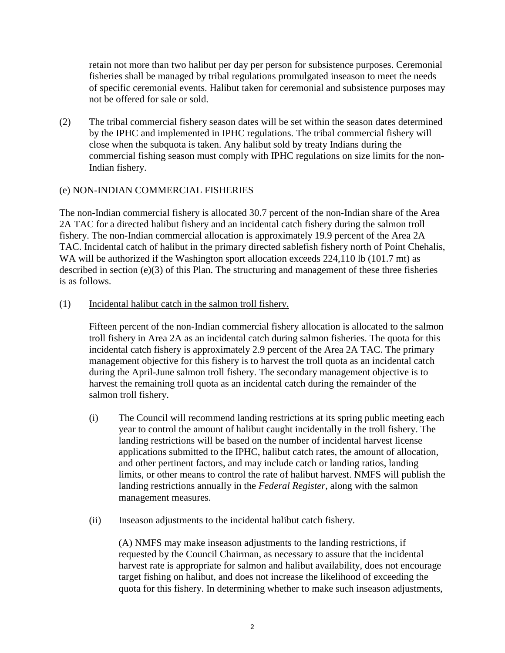retain not more than two halibut per day per person for subsistence purposes. Ceremonial fisheries shall be managed by tribal regulations promulgated inseason to meet the needs of specific ceremonial events. Halibut taken for ceremonial and subsistence purposes may not be offered for sale or sold.

(2) The tribal commercial fishery season dates will be set within the season dates determined by the IPHC and implemented in IPHC regulations. The tribal commercial fishery will close when the subquota is taken. Any halibut sold by treaty Indians during the commercial fishing season must comply with IPHC regulations on size limits for the non-Indian fishery.

# (e) NON-INDIAN COMMERCIAL FISHERIES

The non-Indian commercial fishery is allocated 30.7 percent of the non-Indian share of the Area 2A TAC for a directed halibut fishery and an incidental catch fishery during the salmon troll fishery. The non-Indian commercial allocation is approximately 19.9 percent of the Area 2A TAC. Incidental catch of halibut in the primary directed sablefish fishery north of Point Chehalis, WA will be authorized if the Washington sport allocation exceeds 224,110 lb (101.7 mt) as described in section (e)(3) of this Plan. The structuring and management of these three fisheries is as follows.

(1) Incidental halibut catch in the salmon troll fishery.

Fifteen percent of the non-Indian commercial fishery allocation is allocated to the salmon troll fishery in Area 2A as an incidental catch during salmon fisheries. The quota for this incidental catch fishery is approximately 2.9 percent of the Area 2A TAC. The primary management objective for this fishery is to harvest the troll quota as an incidental catch during the April-June salmon troll fishery. The secondary management objective is to harvest the remaining troll quota as an incidental catch during the remainder of the salmon troll fishery.

- (i) The Council will recommend landing restrictions at its spring public meeting each year to control the amount of halibut caught incidentally in the troll fishery. The landing restrictions will be based on the number of incidental harvest license applications submitted to the IPHC, halibut catch rates, the amount of allocation, and other pertinent factors, and may include catch or landing ratios, landing limits, or other means to control the rate of halibut harvest. NMFS will publish the landing restrictions annually in the *Federal Register*, along with the salmon management measures.
- (ii) Inseason adjustments to the incidental halibut catch fishery.

(A) NMFS may make inseason adjustments to the landing restrictions, if requested by the Council Chairman, as necessary to assure that the incidental harvest rate is appropriate for salmon and halibut availability, does not encourage target fishing on halibut, and does not increase the likelihood of exceeding the quota for this fishery. In determining whether to make such inseason adjustments,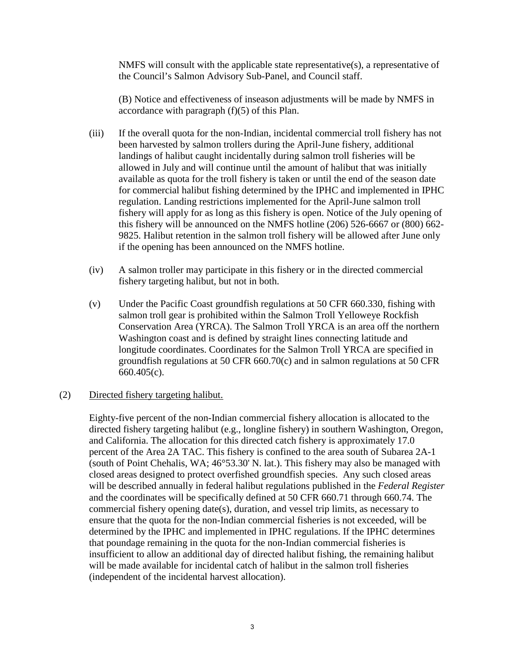NMFS will consult with the applicable state representative(s), a representative of the Council's Salmon Advisory Sub-Panel, and Council staff.

(B) Notice and effectiveness of inseason adjustments will be made by NMFS in accordance with paragraph (f)(5) of this Plan.

- (iii) If the overall quota for the non-Indian, incidental commercial troll fishery has not been harvested by salmon trollers during the April-June fishery, additional landings of halibut caught incidentally during salmon troll fisheries will be allowed in July and will continue until the amount of halibut that was initially available as quota for the troll fishery is taken or until the end of the season date for commercial halibut fishing determined by the IPHC and implemented in IPHC regulation. Landing restrictions implemented for the April-June salmon troll fishery will apply for as long as this fishery is open. Notice of the July opening of this fishery will be announced on the NMFS hotline (206) 526-6667 or (800) 662- 9825. Halibut retention in the salmon troll fishery will be allowed after June only if the opening has been announced on the NMFS hotline.
- (iv) A salmon troller may participate in this fishery or in the directed commercial fishery targeting halibut, but not in both.
- (v) Under the Pacific Coast groundfish regulations at 50 CFR 660.330, fishing with salmon troll gear is prohibited within the Salmon Troll Yelloweye Rockfish Conservation Area (YRCA). The Salmon Troll YRCA is an area off the northern Washington coast and is defined by straight lines connecting latitude and longitude coordinates. Coordinates for the Salmon Troll YRCA are specified in groundfish regulations at 50 CFR 660.70(c) and in salmon regulations at 50 CFR 660.405(c).

## (2) Directed fishery targeting halibut.

Eighty-five percent of the non-Indian commercial fishery allocation is allocated to the directed fishery targeting halibut (e.g., longline fishery) in southern Washington, Oregon, and California. The allocation for this directed catch fishery is approximately 17.0 percent of the Area 2A TAC. This fishery is confined to the area south of Subarea 2A-1 (south of Point Chehalis, WA; 46°53.30' N. lat.). This fishery may also be managed with closed areas designed to protect overfished groundfish species. Any such closed areas will be described annually in federal halibut regulations published in the *Federal Register* and the coordinates will be specifically defined at 50 CFR 660.71 through 660.74. The commercial fishery opening date(s), duration, and vessel trip limits, as necessary to ensure that the quota for the non-Indian commercial fisheries is not exceeded, will be determined by the IPHC and implemented in IPHC regulations. If the IPHC determines that poundage remaining in the quota for the non-Indian commercial fisheries is insufficient to allow an additional day of directed halibut fishing, the remaining halibut will be made available for incidental catch of halibut in the salmon troll fisheries (independent of the incidental harvest allocation).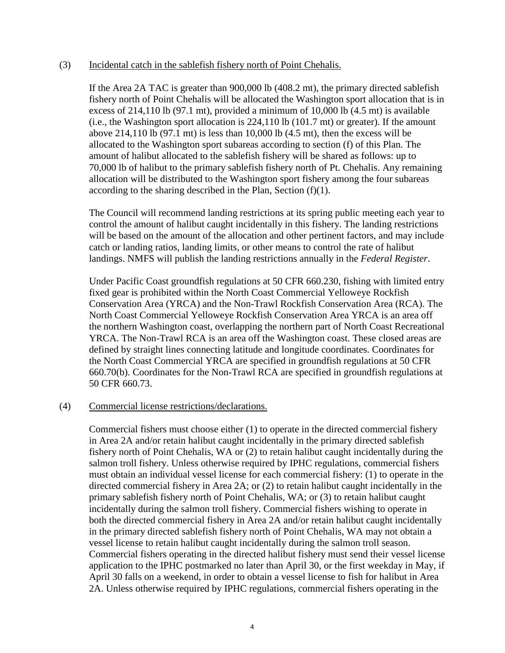#### (3) Incidental catch in the sablefish fishery north of Point Chehalis.

If the Area 2A TAC is greater than 900,000 lb (408.2 mt), the primary directed sablefish fishery north of Point Chehalis will be allocated the Washington sport allocation that is in excess of 214,110 lb (97.1 mt), provided a minimum of 10,000 lb (4.5 mt) is available (i.e., the Washington sport allocation is 224,110 lb (101.7 mt) or greater). If the amount above 214,110 lb  $(97.1 \text{ mt})$  is less than 10,000 lb  $(4.5 \text{ mt})$ , then the excess will be allocated to the Washington sport subareas according to section (f) of this Plan. The amount of halibut allocated to the sablefish fishery will be shared as follows: up to 70,000 lb of halibut to the primary sablefish fishery north of Pt. Chehalis. Any remaining allocation will be distributed to the Washington sport fishery among the four subareas according to the sharing described in the Plan, Section  $(f)(1)$ .

The Council will recommend landing restrictions at its spring public meeting each year to control the amount of halibut caught incidentally in this fishery. The landing restrictions will be based on the amount of the allocation and other pertinent factors, and may include catch or landing ratios, landing limits, or other means to control the rate of halibut landings. NMFS will publish the landing restrictions annually in the *Federal Register*.

Under Pacific Coast groundfish regulations at 50 CFR 660.230, fishing with limited entry fixed gear is prohibited within the North Coast Commercial Yelloweye Rockfish Conservation Area (YRCA) and the Non-Trawl Rockfish Conservation Area (RCA). The North Coast Commercial Yelloweye Rockfish Conservation Area YRCA is an area off the northern Washington coast, overlapping the northern part of North Coast Recreational YRCA. The Non-Trawl RCA is an area off the Washington coast. These closed areas are defined by straight lines connecting latitude and longitude coordinates. Coordinates for the North Coast Commercial YRCA are specified in groundfish regulations at 50 CFR 660.70(b). Coordinates for the Non-Trawl RCA are specified in groundfish regulations at 50 CFR 660.73.

#### (4) Commercial license restrictions/declarations.

Commercial fishers must choose either (1) to operate in the directed commercial fishery in Area 2A and/or retain halibut caught incidentally in the primary directed sablefish fishery north of Point Chehalis, WA or (2) to retain halibut caught incidentally during the salmon troll fishery. Unless otherwise required by IPHC regulations, commercial fishers must obtain an individual vessel license for each commercial fishery: (1) to operate in the directed commercial fishery in Area 2A; or (2) to retain halibut caught incidentally in the primary sablefish fishery north of Point Chehalis, WA; or (3) to retain halibut caught incidentally during the salmon troll fishery. Commercial fishers wishing to operate in both the directed commercial fishery in Area 2A and/or retain halibut caught incidentally in the primary directed sablefish fishery north of Point Chehalis, WA may not obtain a vessel license to retain halibut caught incidentally during the salmon troll season. Commercial fishers operating in the directed halibut fishery must send their vessel license application to the IPHC postmarked no later than April 30, or the first weekday in May, if April 30 falls on a weekend, in order to obtain a vessel license to fish for halibut in Area 2A. Unless otherwise required by IPHC regulations, commercial fishers operating in the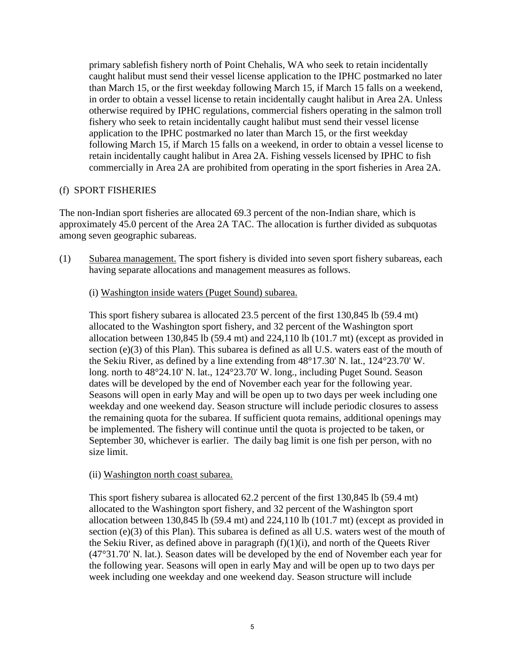primary sablefish fishery north of Point Chehalis, WA who seek to retain incidentally caught halibut must send their vessel license application to the IPHC postmarked no later than March 15, or the first weekday following March 15, if March 15 falls on a weekend, in order to obtain a vessel license to retain incidentally caught halibut in Area 2A. Unless otherwise required by IPHC regulations, commercial fishers operating in the salmon troll fishery who seek to retain incidentally caught halibut must send their vessel license application to the IPHC postmarked no later than March 15, or the first weekday following March 15, if March 15 falls on a weekend, in order to obtain a vessel license to retain incidentally caught halibut in Area 2A. Fishing vessels licensed by IPHC to fish commercially in Area 2A are prohibited from operating in the sport fisheries in Area 2A.

# (f) SPORT FISHERIES

The non-Indian sport fisheries are allocated 69.3 percent of the non-Indian share, which is approximately 45.0 percent of the Area 2A TAC. The allocation is further divided as subquotas among seven geographic subareas.

- (1) Subarea management. The sport fishery is divided into seven sport fishery subareas, each having separate allocations and management measures as follows.
	- (i) Washington inside waters (Puget Sound) subarea.

This sport fishery subarea is allocated 23.5 percent of the first 130,845 lb (59.4 mt) allocated to the Washington sport fishery, and 32 percent of the Washington sport allocation between 130,845 lb (59.4 mt) and  $224,110$  lb (101.7 mt) (except as provided in section (e)(3) of this Plan). This subarea is defined as all U.S. waters east of the mouth of the Sekiu River, as defined by a line extending from 48°17.30' N. lat., 124°23.70' W. long. north to 48°24.10' N. lat., 124°23.70' W. long., including Puget Sound. Season dates will be developed by the end of November each year for the following year. Seasons will open in early May and will be open up to two days per week including one weekday and one weekend day. Season structure will include periodic closures to assess the remaining quota for the subarea. If sufficient quota remains, additional openings may be implemented. The fishery will continue until the quota is projected to be taken, or September 30, whichever is earlier. The daily bag limit is one fish per person, with no size limit.

(ii) Washington north coast subarea.

This sport fishery subarea is allocated 62.2 percent of the first 130,845 lb (59.4 mt) allocated to the Washington sport fishery, and 32 percent of the Washington sport allocation between 130,845 lb (59.4 mt) and 224,110 lb (101.7 mt) (except as provided in section (e)(3) of this Plan). This subarea is defined as all U.S. waters west of the mouth of the Sekiu River, as defined above in paragraph  $(f)(1)(i)$ , and north of the Queets River (47°31.70' N. lat.). Season dates will be developed by the end of November each year for the following year. Seasons will open in early May and will be open up to two days per week including one weekday and one weekend day. Season structure will include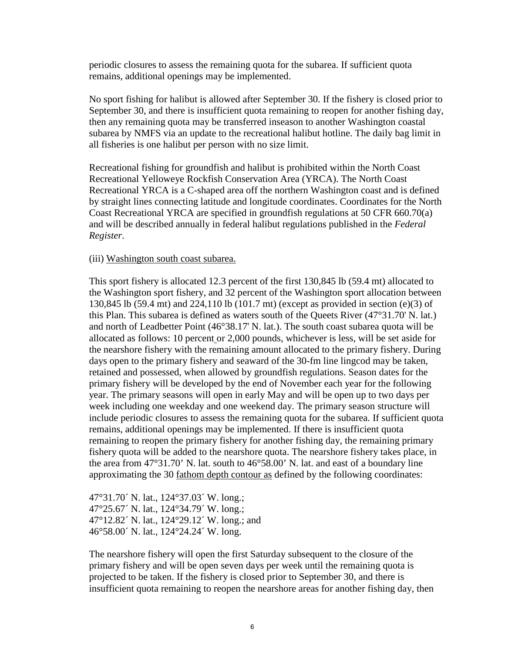periodic closures to assess the remaining quota for the subarea. If sufficient quota remains, additional openings may be implemented.

No sport fishing for halibut is allowed after September 30. If the fishery is closed prior to September 30, and there is insufficient quota remaining to reopen for another fishing day, then any remaining quota may be transferred inseason to another Washington coastal subarea by NMFS via an update to the recreational halibut hotline. The daily bag limit in all fisheries is one halibut per person with no size limit.

Recreational fishing for groundfish and halibut is prohibited within the North Coast Recreational Yelloweye Rockfish Conservation Area (YRCA). The North Coast Recreational YRCA is a C-shaped area off the northern Washington coast and is defined by straight lines connecting latitude and longitude coordinates. Coordinates for the North Coast Recreational YRCA are specified in groundfish regulations at 50 CFR 660.70(a) and will be described annually in federal halibut regulations published in the *Federal Register*.

### (iii) Washington south coast subarea.

This sport fishery is allocated 12.3 percent of the first 130,845 lb (59.4 mt) allocated to the Washington sport fishery, and 32 percent of the Washington sport allocation between 130,845 lb (59.4 mt) and 224,110 lb (101.7 mt) (except as provided in section (e)(3) of this Plan. This subarea is defined as waters south of the Queets River (47°31.70' N. lat.) and north of Leadbetter Point (46°38.17' N. lat.). The south coast subarea quota will be allocated as follows: 10 percent or 2,000 pounds, whichever is less, will be set aside for the nearshore fishery with the remaining amount allocated to the primary fishery. During days open to the primary fishery and seaward of the 30-fm line lingcod may be taken, retained and possessed, when allowed by groundfish regulations. Season dates for the primary fishery will be developed by the end of November each year for the following year. The primary seasons will open in early May and will be open up to two days per week including one weekday and one weekend day. The primary season structure will include periodic closures to assess the remaining quota for the subarea. If sufficient quota remains, additional openings may be implemented. If there is insufficient quota remaining to reopen the primary fishery for another fishing day, the remaining primary fishery quota will be added to the nearshore quota. The nearshore fishery takes place, in the area from 47°31.70' N. lat. south to 46°58.00' N. lat. and east of a boundary line approximating the 30 fathom depth contour as defined by the following coordinates:

47°31.70´ N. lat., 124°37.03´ W. long.; 47°25.67´ N. lat., 124°34.79´ W. long.; 47°12.82´ N. lat., 124°29.12´ W. long.; and 46°58.00´ N. lat., 124°24.24´ W. long.

The nearshore fishery will open the first Saturday subsequent to the closure of the primary fishery and will be open seven days per week until the remaining quota is projected to be taken. If the fishery is closed prior to September 30, and there is insufficient quota remaining to reopen the nearshore areas for another fishing day, then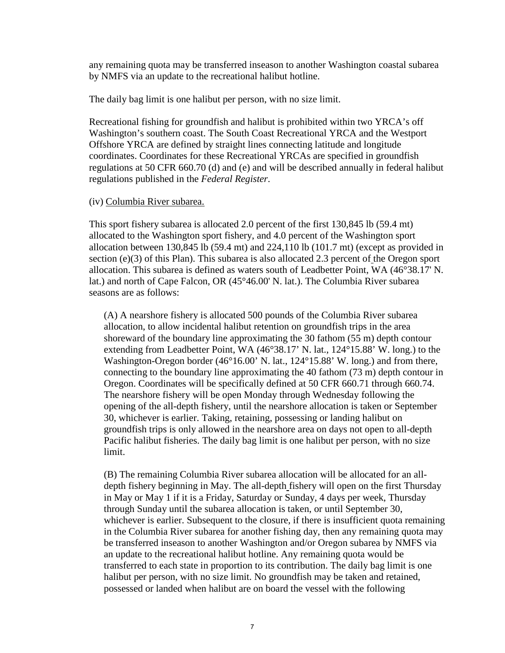any remaining quota may be transferred inseason to another Washington coastal subarea by NMFS via an update to the recreational halibut hotline.

The daily bag limit is one halibut per person, with no size limit.

Recreational fishing for groundfish and halibut is prohibited within two YRCA's off Washington's southern coast. The South Coast Recreational YRCA and the Westport Offshore YRCA are defined by straight lines connecting latitude and longitude coordinates. Coordinates for these Recreational YRCAs are specified in groundfish regulations at 50 CFR 660.70 (d) and (e) and will be described annually in federal halibut regulations published in the *Federal Register*.

## (iv) Columbia River subarea.

This sport fishery subarea is allocated 2.0 percent of the first 130,845 lb (59.4 mt) allocated to the Washington sport fishery, and 4.0 percent of the Washington sport allocation between 130,845 lb (59.4 mt) and  $224,110$  lb (101.7 mt) (except as provided in section (e)(3) of this Plan). This subarea is also allocated 2.3 percent of the Oregon sport allocation. This subarea is defined as waters south of Leadbetter Point, WA (46°38.17' N. lat.) and north of Cape Falcon, OR (45°46.00' N. lat.). The Columbia River subarea seasons are as follows:

(A) A nearshore fishery is allocated 500 pounds of the Columbia River subarea allocation, to allow incidental halibut retention on groundfish trips in the area shoreward of the boundary line approximating the 30 fathom (55 m) depth contour extending from Leadbetter Point, WA (46°38.17' N. lat., 124°15.88' W. long.) to the Washington-Oregon border (46°16.00' N. lat., 124°15.88' W. long.) and from there, connecting to the boundary line approximating the 40 fathom (73 m) depth contour in Oregon. Coordinates will be specifically defined at 50 CFR 660.71 through 660.74. The nearshore fishery will be open Monday through Wednesday following the opening of the all-depth fishery, until the nearshore allocation is taken or September 30, whichever is earlier. Taking, retaining, possessing or landing halibut on groundfish trips is only allowed in the nearshore area on days not open to all-depth Pacific halibut fisheries. The daily bag limit is one halibut per person, with no size limit.

(B) The remaining Columbia River subarea allocation will be allocated for an alldepth fishery beginning in May. The all-depth fishery will open on the first Thursday in May or May 1 if it is a Friday, Saturday or Sunday, 4 days per week, Thursday through Sunday until the subarea allocation is taken, or until September 30, whichever is earlier. Subsequent to the closure, if there is insufficient quota remaining in the Columbia River subarea for another fishing day, then any remaining quota may be transferred inseason to another Washington and/or Oregon subarea by NMFS via an update to the recreational halibut hotline. Any remaining quota would be transferred to each state in proportion to its contribution. The daily bag limit is one halibut per person, with no size limit. No groundfish may be taken and retained, possessed or landed when halibut are on board the vessel with the following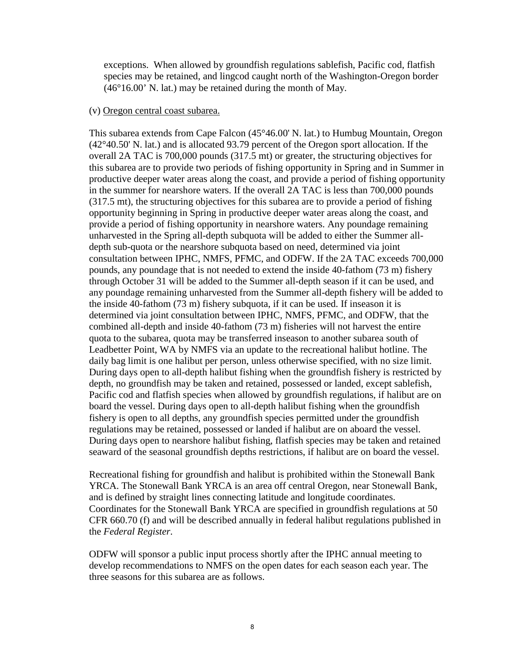exceptions. When allowed by groundfish regulations sablefish, Pacific cod, flatfish species may be retained, and lingcod caught north of the Washington-Oregon border (46°16.00' N. lat.) may be retained during the month of May.

#### (v) Oregon central coast subarea.

This subarea extends from Cape Falcon (45°46.00' N. lat.) to Humbug Mountain, Oregon (42°40.50' N. lat.) and is allocated 93.79 percent of the Oregon sport allocation. If the overall 2A TAC is 700,000 pounds (317.5 mt) or greater, the structuring objectives for this subarea are to provide two periods of fishing opportunity in Spring and in Summer in productive deeper water areas along the coast, and provide a period of fishing opportunity in the summer for nearshore waters. If the overall 2A TAC is less than 700,000 pounds (317.5 mt), the structuring objectives for this subarea are to provide a period of fishing opportunity beginning in Spring in productive deeper water areas along the coast, and provide a period of fishing opportunity in nearshore waters. Any poundage remaining unharvested in the Spring all-depth subquota will be added to either the Summer alldepth sub-quota or the nearshore subquota based on need, determined via joint consultation between IPHC, NMFS, PFMC, and ODFW. If the 2A TAC exceeds 700,000 pounds, any poundage that is not needed to extend the inside 40-fathom (73 m) fishery through October 31 will be added to the Summer all-depth season if it can be used, and any poundage remaining unharvested from the Summer all-depth fishery will be added to the inside 40-fathom (73 m) fishery subquota, if it can be used. If inseason it is determined via joint consultation between IPHC, NMFS, PFMC, and ODFW, that the combined all-depth and inside 40-fathom (73 m) fisheries will not harvest the entire quota to the subarea, quota may be transferred inseason to another subarea south of Leadbetter Point, WA by NMFS via an update to the recreational halibut hotline. The daily bag limit is one halibut per person, unless otherwise specified, with no size limit. During days open to all-depth halibut fishing when the groundfish fishery is restricted by depth, no groundfish may be taken and retained, possessed or landed, except sablefish, Pacific cod and flatfish species when allowed by groundfish regulations, if halibut are on board the vessel. During days open to all-depth halibut fishing when the groundfish fishery is open to all depths, any groundfish species permitted under the groundfish regulations may be retained, possessed or landed if halibut are on aboard the vessel. During days open to nearshore halibut fishing, flatfish species may be taken and retained seaward of the seasonal groundfish depths restrictions, if halibut are on board the vessel.

Recreational fishing for groundfish and halibut is prohibited within the Stonewall Bank YRCA. The Stonewall Bank YRCA is an area off central Oregon, near Stonewall Bank, and is defined by straight lines connecting latitude and longitude coordinates. Coordinates for the Stonewall Bank YRCA are specified in groundfish regulations at 50 CFR 660.70 (f) and will be described annually in federal halibut regulations published in the *Federal Register*.

ODFW will sponsor a public input process shortly after the IPHC annual meeting to develop recommendations to NMFS on the open dates for each season each year. The three seasons for this subarea are as follows.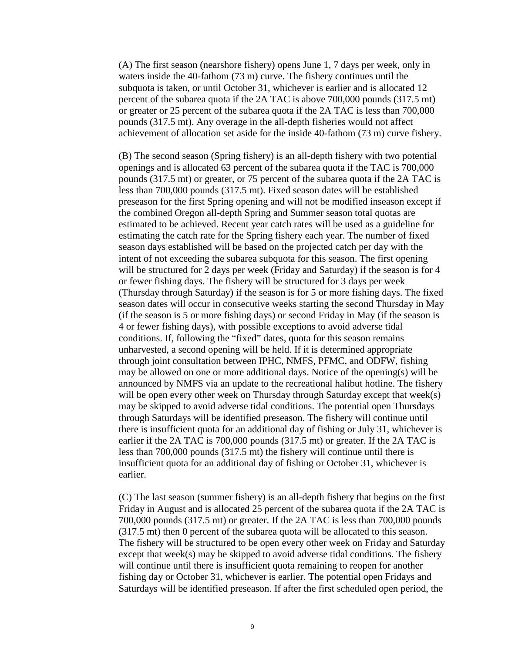(A) The first season (nearshore fishery) opens June 1, 7 days per week, only in waters inside the 40-fathom (73 m) curve. The fishery continues until the subquota is taken, or until October 31, whichever is earlier and is allocated 12 percent of the subarea quota if the 2A TAC is above 700,000 pounds (317.5 mt) or greater or 25 percent of the subarea quota if the 2A TAC is less than 700,000 pounds (317.5 mt). Any overage in the all-depth fisheries would not affect achievement of allocation set aside for the inside 40-fathom (73 m) curve fishery.

(B) The second season (Spring fishery) is an all-depth fishery with two potential openings and is allocated 63 percent of the subarea quota if the TAC is 700,000 pounds (317.5 mt) or greater, or 75 percent of the subarea quota if the 2A TAC is less than 700,000 pounds (317.5 mt). Fixed season dates will be established preseason for the first Spring opening and will not be modified inseason except if the combined Oregon all-depth Spring and Summer season total quotas are estimated to be achieved. Recent year catch rates will be used as a guideline for estimating the catch rate for the Spring fishery each year. The number of fixed season days established will be based on the projected catch per day with the intent of not exceeding the subarea subquota for this season. The first opening will be structured for 2 days per week (Friday and Saturday) if the season is for 4 or fewer fishing days. The fishery will be structured for 3 days per week (Thursday through Saturday) if the season is for 5 or more fishing days. The fixed season dates will occur in consecutive weeks starting the second Thursday in May (if the season is 5 or more fishing days) or second Friday in May (if the season is 4 or fewer fishing days), with possible exceptions to avoid adverse tidal conditions. If, following the "fixed" dates, quota for this season remains unharvested, a second opening will be held. If it is determined appropriate through joint consultation between IPHC, NMFS, PFMC, and ODFW, fishing may be allowed on one or more additional days. Notice of the opening(s) will be announced by NMFS via an update to the recreational halibut hotline. The fishery will be open every other week on Thursday through Saturday except that week(s) may be skipped to avoid adverse tidal conditions. The potential open Thursdays through Saturdays will be identified preseason. The fishery will continue until there is insufficient quota for an additional day of fishing or July 31, whichever is earlier if the 2A TAC is 700,000 pounds (317.5 mt) or greater. If the 2A TAC is less than 700,000 pounds (317.5 mt) the fishery will continue until there is insufficient quota for an additional day of fishing or October 31, whichever is earlier.

(C) The last season (summer fishery) is an all-depth fishery that begins on the first Friday in August and is allocated 25 percent of the subarea quota if the 2A TAC is 700,000 pounds (317.5 mt) or greater. If the 2A TAC is less than 700,000 pounds (317.5 mt) then 0 percent of the subarea quota will be allocated to this season. The fishery will be structured to be open every other week on Friday and Saturday except that week(s) may be skipped to avoid adverse tidal conditions. The fishery will continue until there is insufficient quota remaining to reopen for another fishing day or October 31, whichever is earlier. The potential open Fridays and Saturdays will be identified preseason. If after the first scheduled open period, the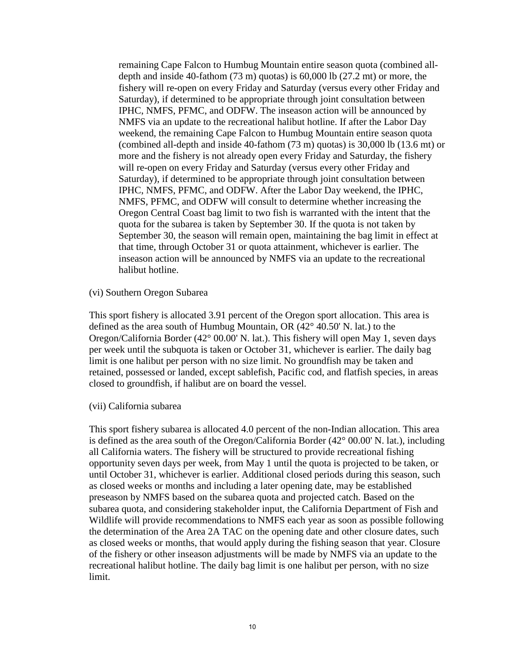remaining Cape Falcon to Humbug Mountain entire season quota (combined alldepth and inside 40-fathom (73 m) quotas) is 60,000 lb (27.2 mt) or more, the fishery will re-open on every Friday and Saturday (versus every other Friday and Saturday), if determined to be appropriate through joint consultation between IPHC, NMFS, PFMC, and ODFW. The inseason action will be announced by NMFS via an update to the recreational halibut hotline. If after the Labor Day weekend, the remaining Cape Falcon to Humbug Mountain entire season quota (combined all-depth and inside 40-fathom (73 m) quotas) is 30,000 lb (13.6 mt) or more and the fishery is not already open every Friday and Saturday, the fishery will re-open on every Friday and Saturday (versus every other Friday and Saturday), if determined to be appropriate through joint consultation between IPHC, NMFS, PFMC, and ODFW. After the Labor Day weekend, the IPHC, NMFS, PFMC, and ODFW will consult to determine whether increasing the Oregon Central Coast bag limit to two fish is warranted with the intent that the quota for the subarea is taken by September 30. If the quota is not taken by September 30, the season will remain open, maintaining the bag limit in effect at that time, through October 31 or quota attainment, whichever is earlier. The inseason action will be announced by NMFS via an update to the recreational halibut hotline.

(vi) Southern Oregon Subarea

This sport fishery is allocated 3.91 percent of the Oregon sport allocation. This area is defined as the area south of Humbug Mountain, OR (42° 40.50' N. lat.) to the Oregon/California Border (42° 00.00' N. lat.). This fishery will open May 1, seven days per week until the subquota is taken or October 31, whichever is earlier. The daily bag limit is one halibut per person with no size limit. No groundfish may be taken and retained, possessed or landed, except sablefish, Pacific cod, and flatfish species, in areas closed to groundfish, if halibut are on board the vessel.

(vii) California subarea

This sport fishery subarea is allocated 4.0 percent of the non-Indian allocation. This area is defined as the area south of the Oregon/California Border (42° 00.00' N. lat.), including all California waters. The fishery will be structured to provide recreational fishing opportunity seven days per week, from May 1 until the quota is projected to be taken, or until October 31, whichever is earlier. Additional closed periods during this season, such as closed weeks or months and including a later opening date, may be established preseason by NMFS based on the subarea quota and projected catch. Based on the subarea quota, and considering stakeholder input, the California Department of Fish and Wildlife will provide recommendations to NMFS each year as soon as possible following the determination of the Area 2A TAC on the opening date and other closure dates, such as closed weeks or months, that would apply during the fishing season that year. Closure of the fishery or other inseason adjustments will be made by NMFS via an update to the recreational halibut hotline. The daily bag limit is one halibut per person, with no size limit.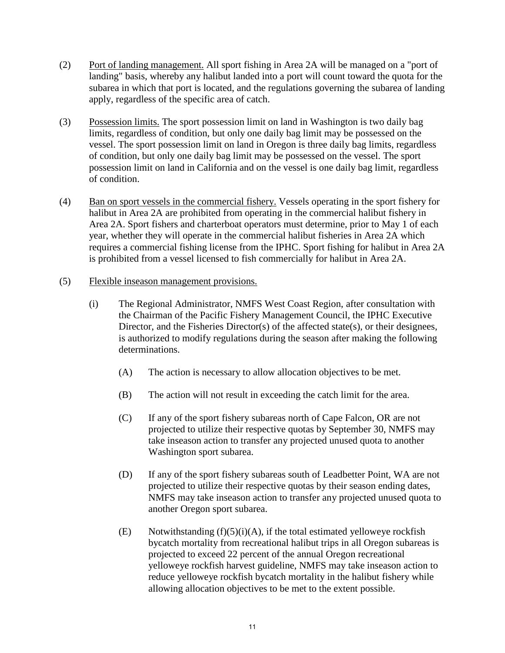- (2) Port of landing management. All sport fishing in Area 2A will be managed on a "port of landing" basis, whereby any halibut landed into a port will count toward the quota for the subarea in which that port is located, and the regulations governing the subarea of landing apply, regardless of the specific area of catch.
- (3) Possession limits. The sport possession limit on land in Washington is two daily bag limits, regardless of condition, but only one daily bag limit may be possessed on the vessel. The sport possession limit on land in Oregon is three daily bag limits, regardless of condition, but only one daily bag limit may be possessed on the vessel. The sport possession limit on land in California and on the vessel is one daily bag limit, regardless of condition.
- (4) Ban on sport vessels in the commercial fishery. Vessels operating in the sport fishery for halibut in Area 2A are prohibited from operating in the commercial halibut fishery in Area 2A. Sport fishers and charterboat operators must determine, prior to May 1 of each year, whether they will operate in the commercial halibut fisheries in Area 2A which requires a commercial fishing license from the IPHC. Sport fishing for halibut in Area 2A is prohibited from a vessel licensed to fish commercially for halibut in Area 2A.

# (5) Flexible inseason management provisions.

- (i) The Regional Administrator, NMFS West Coast Region, after consultation with the Chairman of the Pacific Fishery Management Council, the IPHC Executive Director, and the Fisheries Director(s) of the affected state(s), or their designees, is authorized to modify regulations during the season after making the following determinations.
	- (A) The action is necessary to allow allocation objectives to be met.
	- (B) The action will not result in exceeding the catch limit for the area.
	- (C) If any of the sport fishery subareas north of Cape Falcon, OR are not projected to utilize their respective quotas by September 30, NMFS may take inseason action to transfer any projected unused quota to another Washington sport subarea.
	- (D) If any of the sport fishery subareas south of Leadbetter Point, WA are not projected to utilize their respective quotas by their season ending dates, NMFS may take inseason action to transfer any projected unused quota to another Oregon sport subarea.
	- (E) Notwithstanding  $(f)(5)(i)(A)$ , if the total estimated yelloweye rockfish bycatch mortality from recreational halibut trips in all Oregon subareas is projected to exceed 22 percent of the annual Oregon recreational yelloweye rockfish harvest guideline, NMFS may take inseason action to reduce yelloweye rockfish bycatch mortality in the halibut fishery while allowing allocation objectives to be met to the extent possible.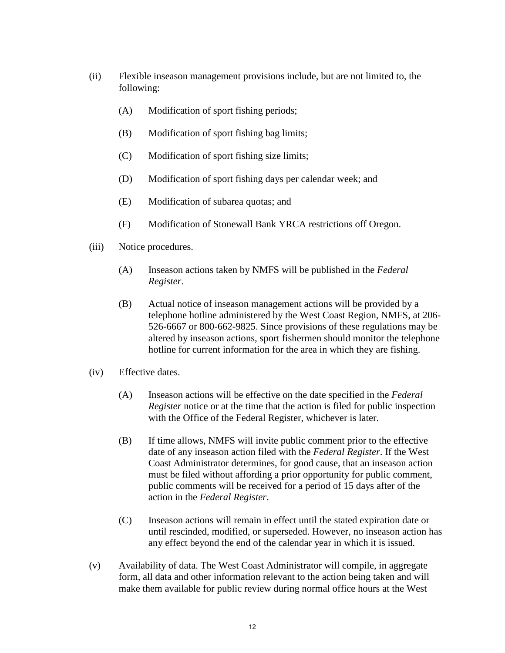- (ii) Flexible inseason management provisions include, but are not limited to, the following:
	- (A) Modification of sport fishing periods;
	- (B) Modification of sport fishing bag limits;
	- (C) Modification of sport fishing size limits;
	- (D) Modification of sport fishing days per calendar week; and
	- (E) Modification of subarea quotas; and
	- (F) Modification of Stonewall Bank YRCA restrictions off Oregon.
- (iii) Notice procedures.
	- (A) Inseason actions taken by NMFS will be published in the *Federal Register*.
	- (B) Actual notice of inseason management actions will be provided by a telephone hotline administered by the West Coast Region, NMFS, at 206- 526-6667 or 800-662-9825. Since provisions of these regulations may be altered by inseason actions, sport fishermen should monitor the telephone hotline for current information for the area in which they are fishing.
- (iv) Effective dates.
	- (A) Inseason actions will be effective on the date specified in the *Federal Register* notice or at the time that the action is filed for public inspection with the Office of the Federal Register, whichever is later.
	- (B) If time allows, NMFS will invite public comment prior to the effective date of any inseason action filed with the *Federal Register*. If the West Coast Administrator determines, for good cause, that an inseason action must be filed without affording a prior opportunity for public comment, public comments will be received for a period of 15 days after of the action in the *Federal Register*.
	- (C) Inseason actions will remain in effect until the stated expiration date or until rescinded, modified, or superseded. However, no inseason action has any effect beyond the end of the calendar year in which it is issued.
- (v) Availability of data. The West Coast Administrator will compile, in aggregate form, all data and other information relevant to the action being taken and will make them available for public review during normal office hours at the West